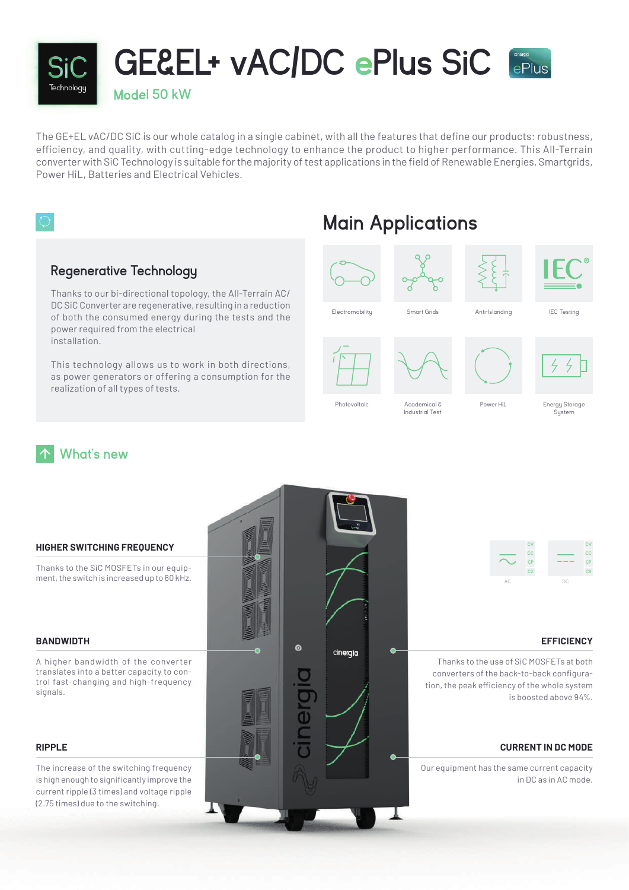

The GE+EL vAC/DC SiC is our whole catalog in a single cabinet, with all the features that define our products: robustness, efficiency, and quality, with cutting-edge technology to enhance the product to higher performance. This All-Terrain converter with SiC Technology is suitable for the majority of test applications in the field of Renewable Energies, Smartgrids, Power HiL, Batteries and Electrical Vehicles.



### **Regenerative Technology**

Thanks to our bi-directional topology, the All-Terrain AC/ DC SiC Converter are regenerative, resulting in a reduction of both the consumed energy during the tests and the power required from the electrical installation.

This technology allows us to work in both directions, as power generators or offering a consumption for the realization of all types of tests.

## **Main Applications**









IEC Testing

**Electromobilitu** 

Photovoltaic

**Industrial Tes** 

Energy Storage System

**What's new**



## Academical &

Smart Grids

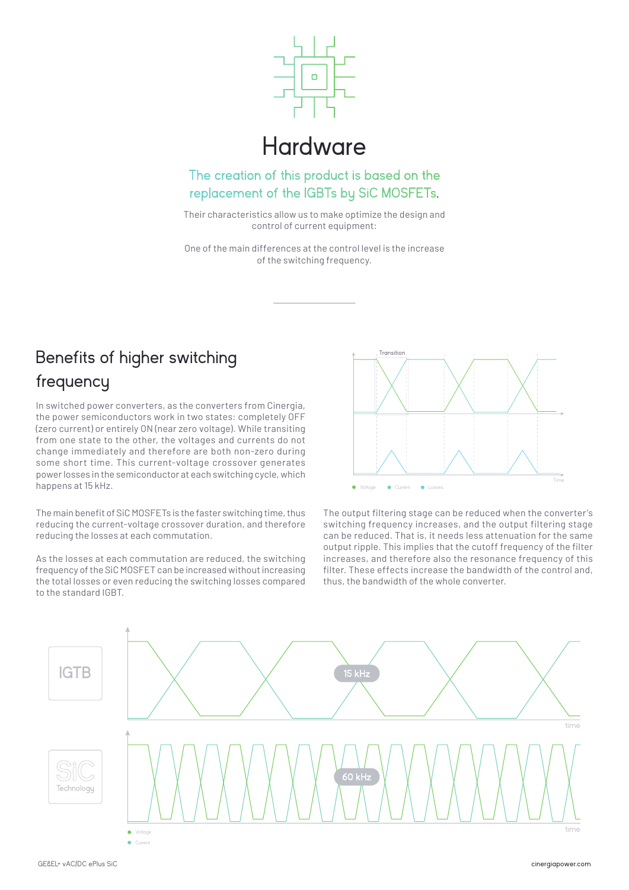

## **Hardware**

The creation of this product is based on the replacement of the IGBTs by SiC MOSFETs.

Their characteristics allow us to make optimize the design and control of current equipment:

One of the main differences at the control level is the increase of the switching frequency.

## Benefits of higher switching frequency

In switched power converters, as the converters from Cinergia, the power semiconductors work in two states: completely OFF (zero current) or entirely ON (near zero voltage). While transiting from one state to the other, the voltages and currents do not change immediately and therefore are both non-zero during some short time. This current-voltage crossover generates power losses in the semiconductor at each switching cycle, which happens at 15 kHz.

The main benefit of SiC MOSFETs is the faster switching time, thus reducing the current-voltage crossover duration, and therefore reducing the losses at each commutation.

As the losses at each commutation are reduced, the switching frequency of the SiC MOSFET can be increased without increasing the total losses or even reducing the switching losses compared to the standard IGBT.



The output filtering stage can be reduced when the converter's switching frequency increases, and the output filtering stage can be reduced. That is, it needs less attenuation for the same output ripple. This implies that the cutoff frequency of the filter increases, and therefore also the resonance frequency of this filter. These effects increase the bandwidth of the control and, thus, the bandwidth of the whole converter.

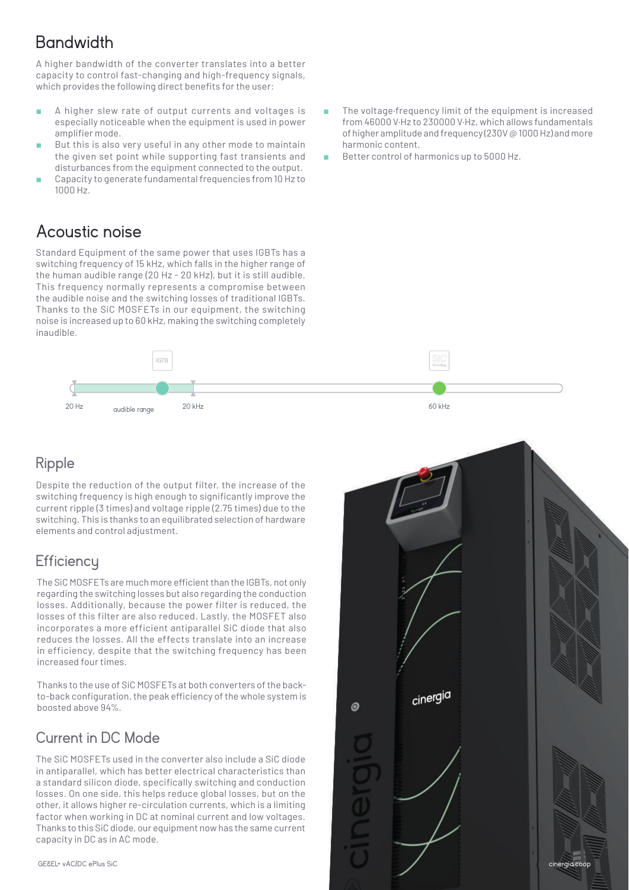## **Bandwidth**

A higher bandwidth of the converter translates into a better capacity to control fast-changing and high-frequency signals, which provides the following direct benefits for the user:

- A higher slew rate of output currents and voltages is especially noticeable when the equipment is used in power amplifier mode.
- But this is also very useful in any other mode to maintain the given set point while supporting fast transients and disturbances from the equipment connected to the output.
- Capacity to generate fundamental frequencies from 10 Hz to 1000 Hz.

### Acoustic noise

Standard Equipment of the same power that uses IGBTs has a switching frequency of 15 kHz, which falls in the higher range of the human audible range (20 Hz - 20 kHz), but it is still audible. This frequency normally represents a compromise between the audible noise and the switching losses of traditional IGBTs. Thanks to the SiC MOSFETs in our equipment, the switching noise is increased up to 60 kHz, making the switching completely inaudible.



### Ripple

Despite the reduction of the output filter, the increase of the switching frequency is high enough to significantly improve the current ripple (3 times) and voltage ripple (2.75 times) due to the switching. This is thanks to an equilibrated selection of hardware elements and control adjustment.

### **Efficiency**

The SiC MOSFETs are much more efficient than the IGBTs, not only regarding the switching losses but also regarding the conduction losses. Additionally, because the power filter is reduced, the losses of this filter are also reduced. Lastly, the MOSFET also incorporates a more efficient antiparallel SiC diode that also reduces the losses. All the effects translate into an increase in efficiency, despite that the switching frequency has been increased four times.

Thanks to the use of SiC MOSFETs at both converters of the backto-back configuration, the peak efficiency of the whole system is boosted above 94%.

### Current in DC Mode

The SiC MOSFETs used in the converter also include a SiC diode in antiparallel, which has better electrical characteristics than a standard silicon diode, specifically switching and conduction losses. On one side, this helps reduce global losses, but on the other, it allows higher re-circulation currents, which is a limiting factor when working in DC at nominal current and low voltages. Thanks to this SiC diode, our equipment now has the same current capacity in DC as in AC mode.

- The voltage·frequency limit of the equipment is increased from 46000 V·Hz to 230000 V·Hz, which allows fundamentals of higher amplitude and frequency (230V @ 1000 Hz) and more harmonic content.
- Better control of harmonics up to 5000 Hz.

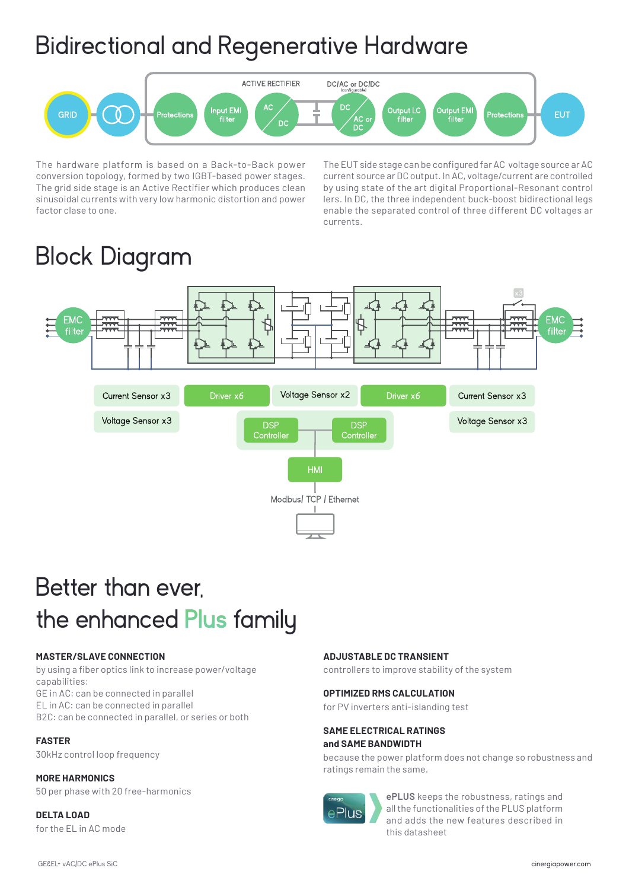# Bidirectional and Regenerative Hardware



The hardware platform is based on a Back-to-Back power conversion topology, formed by two IGBT-based power stages. The grid side stage is an Active Rectifier which produces clean sinusoidal currents with very low harmonic distortion and power factor clase to one.

The EUT side stage can be configured far AC voltage source ar AC current source ar DC output. In AC, voltage/current are controlled by using state of the art digital Proportional-Resonant control lers. In DC, the three independent buck-boost bidirectional legs enable the separated control of three different DC voltages ar currents.

# Block Diagram



# Better than ever, the enhanced **Plus** family

### **MASTER/SLAVE CONNECTION**

by using a fiber optics link to increase power/voltage capabilities: GE in AC: can be connected in parallel EL in AC: can be connected in parallel B2C: can be connected in parallel, or series or both

### **FASTER**

30kHz control loop frequency

#### **MORE HARMONICS**

50 per phase with 20 free-harmonics

### **DELTA LOAD** for the EL in AC mode

### **ADJUSTABLE DC TRANSIENT**

controllers to improve stability of the system

#### **OPTIMIZED RMS CALCULATION**

for PV inverters anti-islanding test

#### **SAME ELECTRICAL RATINGS and SAME BANDWIDTH**

because the power platform does not change so robustness and ratings remain the same.



**ePLUS** keeps the robustness, ratings and all the functionalities of the PLUS platform and adds the new features described in this datasheet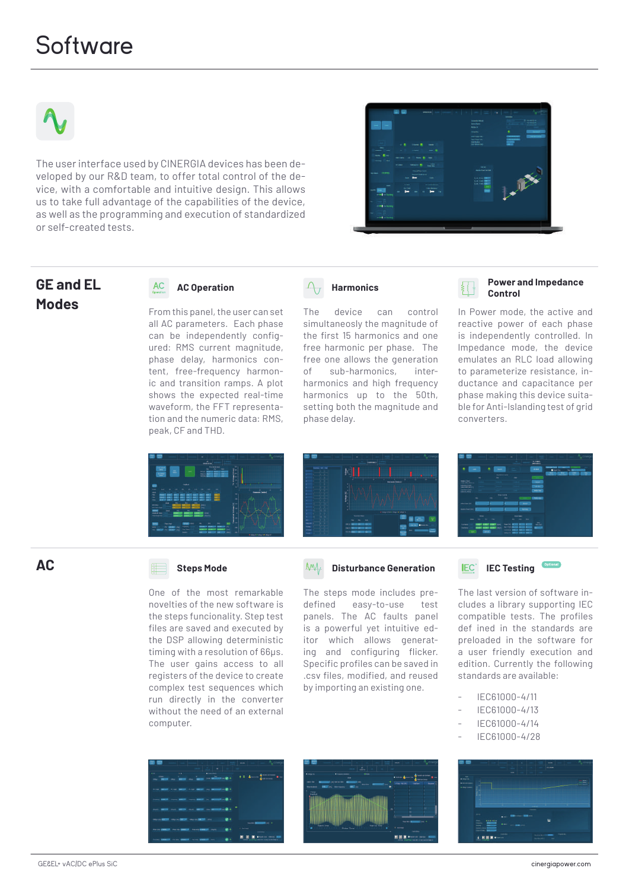## **Software**



The user interface used by CINERGIA devices has been developed by our R&D team, to offer total control of the device, with a comfortable and intuitive design. This allows us to take full advantage of the capabilities of the device, as well as the programming and execution of standardized or self-created tests.



# **GE and EL**

### $AC$

**Modes** From this panel, the user can set all AC parameters. Each phase can be independently configured: RMS current magnitude, phase delay, harmonics content, free-frequency harmonic and transition ramps. A plot shows the expected real-time waveform, the FFT representation and the numeric data: RMS, peak, CF and THD.



The device can control simultaneosly the magnitude of the first 15 harmonics and one free harmonic per phase. The free one allows the generation of sub-harmonics, interharmonics and high frequency harmonics up to the 50th, setting both the magnitude and phase delay.

#### **AC Operation Power and Impedance Control**

In Power mode, the active and reactive power of each phase is independently controlled. In lmpedance mode, the device emulates an RLC load allowing to parameterize resistance, inductance and capacitance per phase making this device suitable for Anti-lslanding test of grid converters.





### **Disturbance Generation**

The steps mode includes predefined easy-to-use test panels. The AC faults panel is a powerful yet intuitive editor which allows generating and configuring flicker. Specific profiles can be saved in .csv files, modified, and reused by importing an existing one.



#### **IEC Testing**Optional IEC<sup>®</sup>

The last version of software includes a library supporting IEC compatible tests. The profiles def ined in the standards are preloaded in the software for a user friendly execution and edition. Currently the following standards are available:

- IEC61000-4/11
- IEC61000-4/13
- IEC61000-4/14
- IEC61000-4/28



### **AC**

### **Steps Mode**

One of the most remarkable novelties of the new software is the steps funcionality. Step test files are saved and executed by the DSP allowing deterministic timing with a resolution of 66µs. The user gains access to all registers of the device to create complex test sequences which run directly in the converter without the need of an external computer.





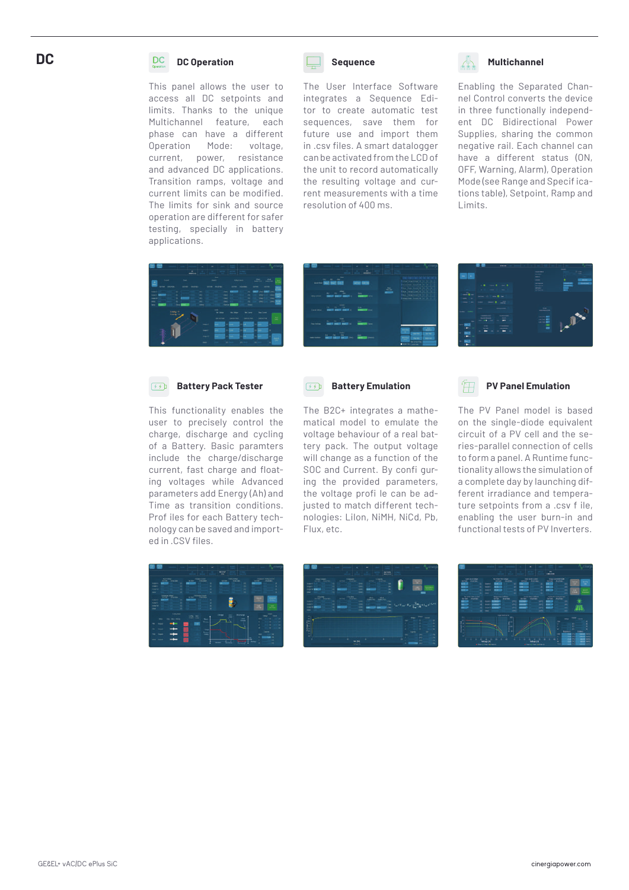### **DC**

#### DC **DC Operation**

This panel allows the user to access all DC setpoints and limits. Thanks to the unique Multichannel feature, each phase can have a different Operation Mode: voltage, current, power, resistance and advanced DC applications. Transition ramps, voltage and current limits can be modified. The limits for sink and source operation are different for safer testing, specially in battery applications.



The User Interface Software integrates a Sequence Editor to create automatic test sequences, save them for future use and import them in .csv files. A smart datalogger can be activated from the LCD of the unit to record automatically the resulting voltage and current measurements with a time resolution of 400 ms.



#### Enabling the Separated Channel Control converts the device in three functionally independent DC Bidirectional Power Supplies, sharing the common negative rail. Each channel can have a different status (ON, OFF, Warning, Alarm), Operation Mode (see Range and Specif ications table), Setpoint, Ramp and Limits.



|                     |                                         |                                                                    |                           | $\mathcal{L}_{\text{max}}$ |   |                                                                                                  |                                                       |                       |
|---------------------|-----------------------------------------|--------------------------------------------------------------------|---------------------------|----------------------------|---|--------------------------------------------------------------------------------------------------|-------------------------------------------------------|-----------------------|
|                     | <b>START OF</b><br>sorrow has been sent |                                                                    | <b>Service State Inc.</b> |                            | 5 | I show when home in the fact<br>Proposition board or by the<br>Then they have to in the the      | <b>BUILDING</b>                                       |                       |
| <b>Warning</b>      |                                         |                                                                    |                           | Terms                      |   | I has been come of 14, 14, 15<br>The Character of the Alex<br>I construct former of the first in |                                                       |                       |
|                     | $- - -$                                 | energy appeals absent on                                           |                           | <b>County</b> and          |   |                                                                                                  |                                                       |                       |
| <b>The Entrance</b> | $\sim$                                  | $\overline{\phantom{a}}$<br>1997<br><b>WARD BARBER BARBER INC.</b> |                           | ters<br><b>CONTRACTOR</b>  |   | з.<br>÷                                                                                          |                                                       |                       |
|                     |                                         | <b>Service</b>                                                     | ÷                         | <b>March 19</b> Shower     |   | <b>Book</b><br>The Principal Council on                                                          | <b>START</b><br><b>Harley</b><br><b>See LowerPool</b> | $-1$<br>$\frac{1}{2}$ |
|                     |                                         |                                                                    |                           |                            |   |                                                                                                  |                                                       |                       |



#### $\sqrt{3}$ **Battery Pack Tester**

This functionality enables the user to precisely control the charge, discharge and cycling of a Battery. Basic paramters include the charge/discharge current, fast charge and floating voltages while Advanced parameters add Energy (Ah) and Time as transition conditions. Prof iles for each Battery technology can be saved and imported in .CSV files.



The B2C+ integrates a mathematical model to emulate the voltage behaviour of a real battery pack. The output voltage will change as a function of the SOC and Current. By confi guring the provided parameters, the voltage profi le can be adjusted to match different technologies: LiIon, NiMH, NiCd, Pb, Flux, etc.

### **PV Panel Emulation**

The PV Panel model is based on the single-diode equivalent circuit of a PV cell and the series-parallel connection of cells to form a panel. A Runtime functionality allows the simulation of a complete day by launching different irradiance and temperature setpoints from a .csv f ile, enabling the user burn-in and functional tests of PV Inverters.





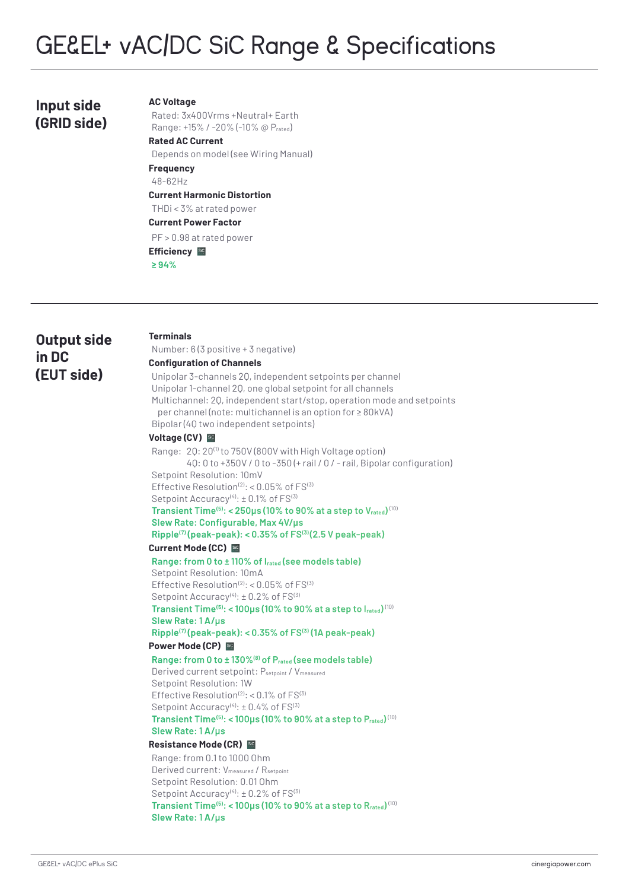### **Input side (GRID side)**

#### **AC Voltage**

Rated: 3x400Vrms +Neutral+ Earth Range: +15% / -20% (-10% @ Prated) **Rated AC Current**

Depends on model (see Wiring Manual) **Frequency**

#### 48-62Hz

**Current Harmonic Distortion**

THDi < 3% at rated power

### **Current Power Factor**

PF > 0.98 at rated power

### **Efficiency BC**

**≥ 94%**

### **Output side in DC (EUT side)**

#### **Terminals**

Number: 6 (3 positive + 3 negative)

### **Configuration of Channels**

Unipolar 3-channels 2Q, independent setpoints per channel Unipolar 1-channel 2Q, one global setpoint for all channels Multichannel: 2Q, independent start/stop, operation mode and setpoints per channel (note: multichannel is an option for ≥ 80kVA) Bipolar (4Q two independent setpoints)

#### **Voltage (CV)**

Range: 20: 20<sup>(1)</sup> to 750V (800V with High Voltage option) 4Q: 0 to +350V / 0 to -350 (+ rail / 0 / - rail, Bipolar configuration) Setpoint Resolution: 10mV Effective Resolution $(2)$ : < 0.05% of  $FS^{(3)}$ Setpoint Accuracy<sup>(4)</sup>:  $\pm$  0.1% of  $FS^{(3)}$ **Transient Time(5): < 250μs (10% to 90% at a step to Vrated)** (10)

### **Slew Rate: Configurable, Max 4V/μs Ripple(7) (peak-peak): < 0.35% of FS(3) (2.5 V peak-peak)**

#### **Current Mode (CC)**

**Range: from 0 to ± 110% of Irated (see models table)** Setpoint Resolution: 10mA Effective Resolution $(2)$ : < 0.05% of  $FS^{(3)}$ Setpoint Accuracy<sup>(4)</sup>:  $\pm$  0.2% of  $FS^{(3)}$ 

**Transient Time(5): < 100μs (10% to 90% at a step to Irated)** (10) **Slew Rate: 1 A/μs**

## **Ripple(7) (peak-peak): < 0.35% of FS(3) (1A peak-peak)**

#### **Power Mode (CP)**

**Range: from 0 to ± 130%(8) of Prated (see models table)** Derived current setpoint: Psetpoint / Vmeasured Setpoint Resolution: 1W Effective Resolution $(2)$ : < 0.1% of  $FS^{(3)}$ Setpoint  $Accuracy<sup>(4)</sup>: ± 0.4%$  of  $FS<sup>(3)</sup>$ **Transient Time(5): < 100μs (10% to 90% at a step to Prated)** (10)

#### **Slew Rate: 1 A/μs**

### **Resistance Mode (CR)**

Range: from 0.1 to 1000 Ohm Derived current: V<sub>measured</sub> / R<sub>setpoint</sub> Setpoint Resolution: 0.01 Ohm Setpoint Accuracy<sup>(4)</sup>:  $\pm$  0.2% of FS<sup>(3)</sup> **Transient Time(5): < 100μs (10% to 90% at a step to Rrated)** (10) **Slew Rate: 1 A/μs**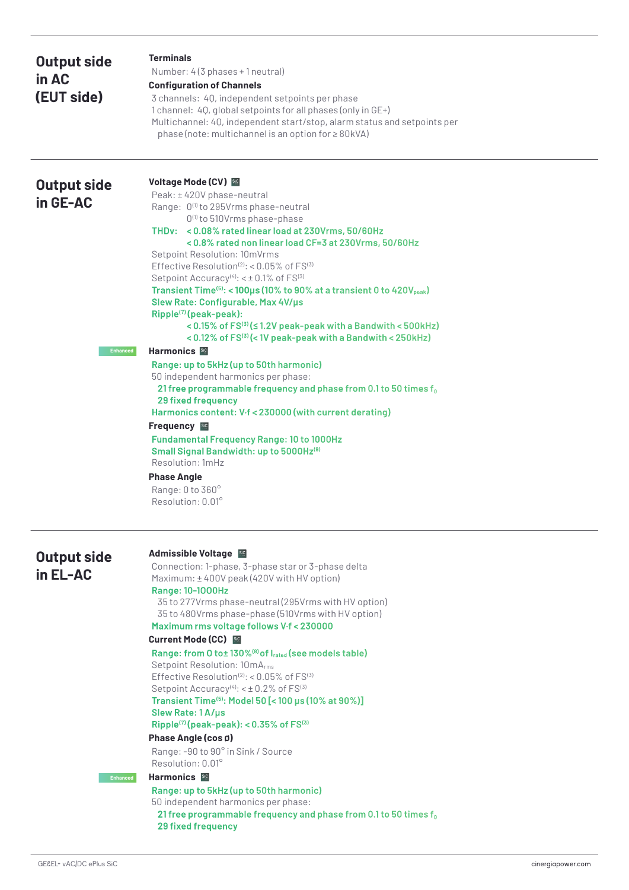| <b>Output side</b><br>in AC<br>(EUT side)           | <b>Terminals</b><br>Number: 4(3 phases + 1 neutral)<br><b>Configuration of Channels</b><br>3 channels: 40, independent setpoints per phase<br>1 channel: 40, global setpoints for all phases (only in GE+)<br>Multichannel: 40, independent start/stop, alarm status and setpoints per<br>phase (note: multichannel is an option for ≥80kVA)                                                                                                                                                                                                                                                                                                                                                                                                                                                                                                                                                                                                                                                                                                                                                                                                                                                                             |
|-----------------------------------------------------|--------------------------------------------------------------------------------------------------------------------------------------------------------------------------------------------------------------------------------------------------------------------------------------------------------------------------------------------------------------------------------------------------------------------------------------------------------------------------------------------------------------------------------------------------------------------------------------------------------------------------------------------------------------------------------------------------------------------------------------------------------------------------------------------------------------------------------------------------------------------------------------------------------------------------------------------------------------------------------------------------------------------------------------------------------------------------------------------------------------------------------------------------------------------------------------------------------------------------|
| <b>Output side</b><br>in GE-AC<br><b>Enhanced</b>   | Voltage Mode (CV)<br>Peak: ±420V phase-neutral<br>Range: 0 <sup>(1)</sup> to 295Vrms phase-neutral<br>0 <sup>(1)</sup> to 510Vrms phase-phase<br>THDv: < 0.08% rated linear load at 230Vrms, 50/60Hz<br><0.8% rated non linear load CF=3 at 230Vrms, 50/60Hz<br>Setpoint Resolution: 10mVrms<br>Effective Resolution <sup>(2)</sup> : < $0.05\%$ of $FS^{(3)}$<br>Setpoint Accuracy <sup>(4)</sup> : < $\pm$ 0.1% of FS <sup>(3)</sup><br>Transient Time $(5)$ : < 100 $\mu$ s (10% to 90% at a transient 0 to 420 $V_{peak}$ )<br>Slew Rate: Configurable, Max 4V/µs<br>Ripple <sup>(7)</sup> (peak-peak):<br>< 0.15% of FS(3) (≤ 1.2V peak-peak with a Bandwith < 500kHz)<br>< 0.12% of FS(3) (< 1V peak-peak with a Bandwith < 250kHz)<br><b>Harmonics</b> Sic<br>Range: up to 5kHz (up to 50th harmonic)<br>50 independent harmonics per phase:<br>21 free programmable frequency and phase from 0.1 to 50 times $f_0$<br><b>29 fixed frequency</b><br>Harmonics content: V.f < 230000 (with current derating)<br><b>Frequency</b><br><b>Fundamental Frequency Range: 10 to 1000Hz</b><br>Small Signal Bandwidth: up to 5000Hz(9)<br>Resolution: 1mHz<br><b>Phase Angle</b><br>Range: 0 to 360°<br>Resolution: 0.01° |
| <b>Output side</b><br>in $EL-AC$<br><b>Enhanced</b> | <b>Admissible Voltage &amp;</b><br>Connection: 1-phase, 3-phase star or 3-phase delta<br>Maximum: ±400V peak (420V with HV option)<br>Range: 10-1000Hz<br>35 to 277 Vrms phase-neutral (295 Vrms with HV option)<br>35 to 480Vrms phase-phase (510Vrms with HV option)<br>Maximum rms voltage follows V-f < 230000<br>Current Mode (CC)<br>Range: from 0 to±130% <sup>(8)</sup> of I <sub>rated</sub> (see models table)<br>Setpoint Resolution: 10mArms<br>Effective Resolution <sup>(2)</sup> : < $0.05\%$ of $FS^{(3)}$<br>Setpoint Accuracy <sup>(4)</sup> : < $\pm$ 0.2% of FS <sup>(3)</sup><br>Transient Time(5): Model 50 [<100 µs (10% at 90%)]<br>Slew Rate: 1A/µs<br>Ripple <sup>(7)</sup> (peak-peak): < $0.35\%$ of $FS^{(3)}$<br>Phase Angle (cos ø)<br>Range: -90 to 90° in Sink / Source<br>Resolution: 0.01°<br>Harmonics ED<br>Range: up to 5kHz (up to 50th harmonic)<br>50 independent harmonics per phase:<br>21 free programmable frequency and phase from 0.1 to 50 times $f_0$<br><b>29 fixed frequency</b>                                                                                                                                                                                      |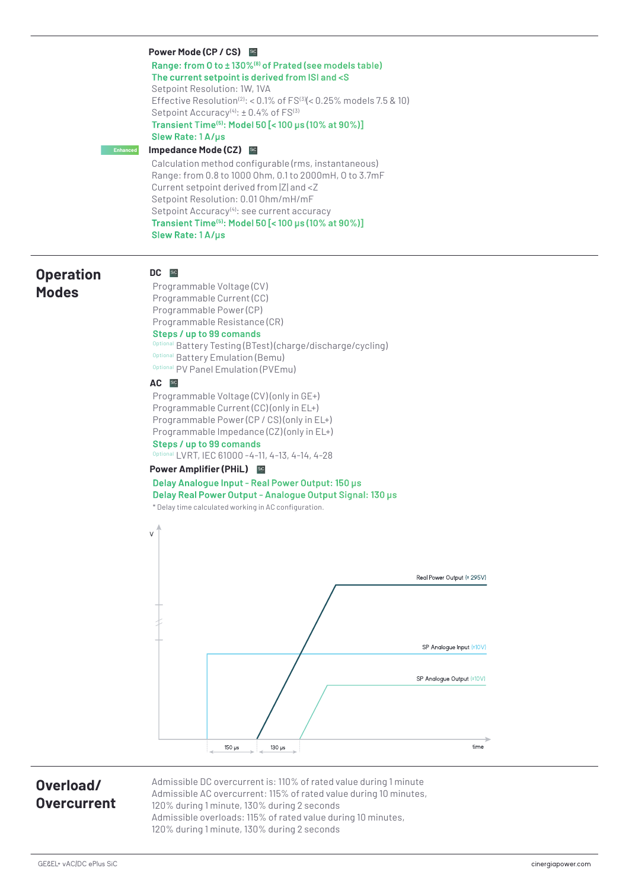**Power Mode (CP / CS) Range: from O to ± 130%(8) of Prated (see models table) The current setpoint is derived from ISI and <S** Setpoint Resolution: 1W, 1VA Effective Resolution<sup>(2)</sup>: <  $0.1\%$  of FS<sup>(3)</sup>(<  $0.25\%$  models 7.5 & 10) Setpoint  $Accuracy<sup>(4)</sup>: ± 0.4%$  of  $FS<sup>(3)</sup>$ **Transient Time(5): Model 50 [< 100 μs (10% at 90%)] Slew Rate: 1 A/μs Impedance Mode (CZ) Enhanced**

> Calculation method configurable (rms, instantaneous) Range: from 0.8 to 1000 Ohm, 0.1 to 2000mH, O to 3.7mF Current setpoint derived from |Z| and <Z Setpoint Resolution: 0.01 Ohm/mH/mF Setpoint Accuracy<sup>(4)</sup>: see current accuracy **Transient Time(5): Model 50 [< 100 μs (10% at 90%)] Slew Rate: 1 A/μs**

### **Operation Modes**

### DC **SiC**

Programmable Voltage (CV) Programmable Current (CC) Programmable Power (CP) Programmable Resistance (CR) **Steps / up to 99 comands** al Battery Testing (BTest) (charge/discharge/cycling) Optional Battery Emulation (Bemu) Optional PV Panel Emulation (PVEmu)

#### AC **Sic**

Programmable Voltage (CV) (only in GE+) Programmable Current (CC) (only in EL+) Programmable Power (CP / CS) (only in EL+) Programmable Impedance (CZ) (only in EL+) **Steps / up to 99 comands**

Optional LVRT, IEC 61000 -4-11, 4-13, 4-14, 4-28

### **Power Amplifier (PHiL)**

### **Delay Analogue Input - Real Power Output: 150 μs Delay Real Power Output - Analogue Output Signal: 130 μs**





### **Overload/ Overcurrent**

Admissible DC overcurrent is: 110% of rated value during 1 minute Admissible AC overcurrent: 115% of rated value during 10 minutes, 120% during 1 minute, 130% during 2 seconds Admissible overloads: 115% of rated value during 10 minutes, 120% during 1 minute, 130% during 2 seconds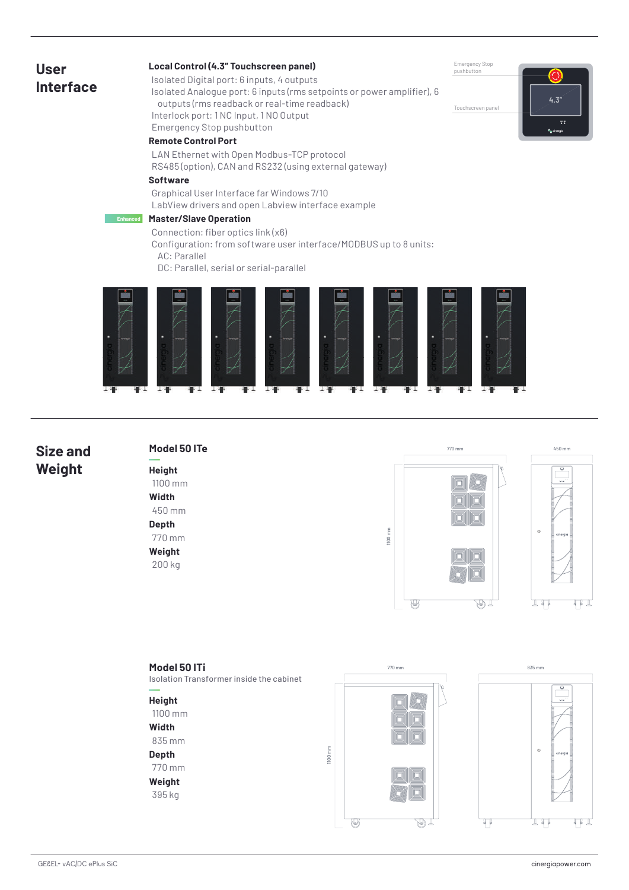### **User Interface**

### **Local Control (4.3" Touchscreen panel)**

lsolated Digital port: 6 inputs, 4 outputs

lsolated Analogue port: 6 inputs (rms setpoints or power amplifier), 6 outputs (rms readback or real-time readback) Interlock port: 1 NC Input, 1 NO Output Emergency Stop pushbutton

#### **Remote Control Port**

LAN Ethernet with Open Modbus-TCP protocol RS485 (option), CAN and RS232 (using external gateway)

### **Software**

Graphical User Interface far Windows 7/10 LabView drivers and open Labview interface example

#### **Master/Slave Operation Enhanced**

Connection: fiber optics link (x6)

Configuration: from software user interface/MODBUS up to 8 units: AC: Parallel

DC: Parallel, serial or serial-parallel



### **Size and Weight**

## **Model 50 ITe**

**Height** 1100 mm **Width** 450 mm **Depth** 770 mm **Weight** 200 kg



770 mm 450 mm



**4.3"**

Emergency Stop pushbutton

Touchscreen panel

### **Model 50 ITi**

Isolation Transformer inside the cabinet

### **Height**

1100 mm

#### **Width**

835 mm

### **Depth**

770 mm **Weight**

395 kg



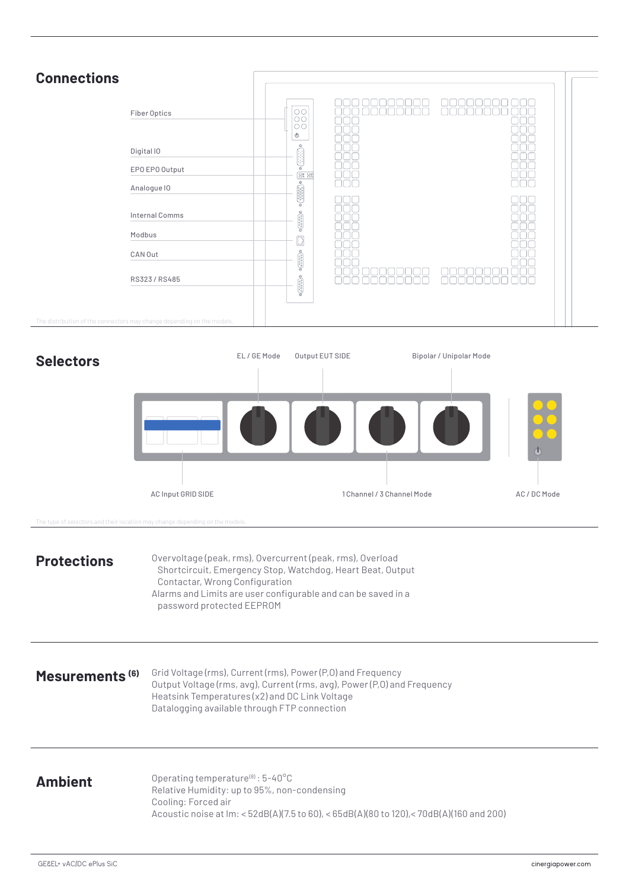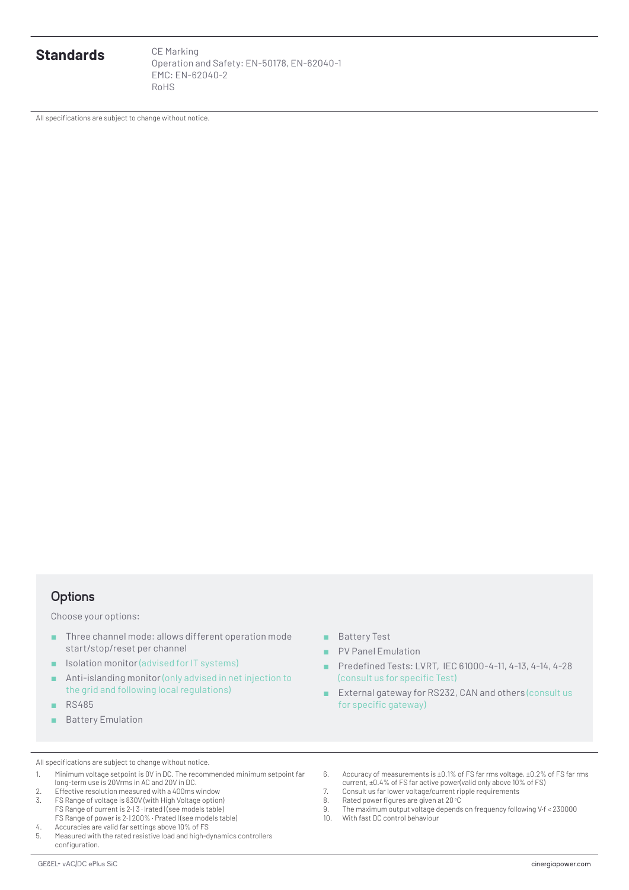**Standards** CE Marking

Operation and Safety: EN-50178, EN-62040-1 EMC: EN-62040-2 RoHS

AII specifications are subject to change without notice.

### **Options**

Choose your options:

- Three channel mode: allows different operation mode start/stop/reset per channel
- Isolation monitor (advised for IT systems)
- Anti-islanding monitor (only advised in net injection to the grid and following local regulations)
- RS485
- Battery Emulation
- Battery Test
- PV Panel Emulation
- Predefined Tests: LVRT, IEC 61000-4-11, 4-13, 4-14, 4-28 (consult us for specific Test)
- External gateway for RS232, CAN and others (consult us for specific gateway)

AII specifications are subject to change without notice.

- 1. Minimum voltage setpoint is 0V in DC. The recommended minimum setpoint far long-term use is 20Vrms in AC and 20V in DC.
- 2. Effective resolution measured with a 400ms window 3. FS Range of voltage is 830V (with High Voltage option)
- FS Range of current is 2· | 3 · Irated | (see models table) FS Range of power is 2· | 200% · Prated | (see models table) 4. Accuracies are valid far settings above 10% of FS
- 5. Measured with the rated resistive load and high-dynamics controllers configuration.
- 6. Accuracy of measurements is ±0.1% of FS far rms voltage, ±0.2% of FS far rms current, ±0.4% of FS far active power(valid only above 10% of FS) 7. Consult us far lower voltage/current ripple requirements
- 
- 8. Rated power figures are given at  $20^{\circ}$ C<br>9. The maximum output voltage depend: 9. The maximum output voltage depends on frequency following V·f < 230000
- With fast DC control behaviour